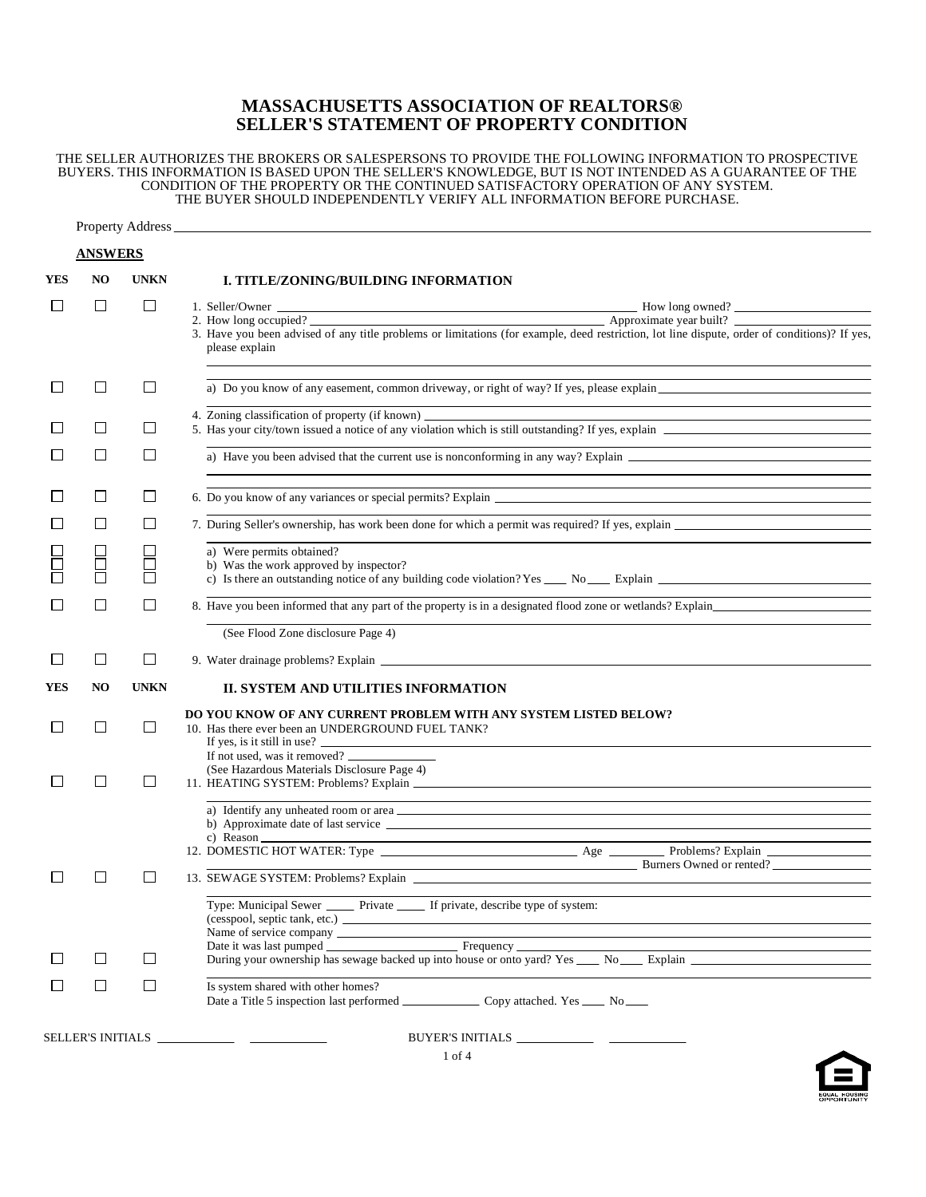# **MASSACHUSETTS ASSOCIATION OF REALTORS® SELLER'S STATEMENT OF PROPERTY CONDITION**

THE SELLER AUTHORIZES THE BROKERS OR SALESPERSONS TO PROVIDE THE FOLLOWING INFORMATION TO PROSPECTIVE BUYERS. THIS INFORMATION IS BASED UPON THE SELLER'S KNOWLEDGE, BUT IS NOT INTENDED AS A GUARANTEE OF THE CONDITION OF THE PROPERTY OR THE CONTINUED SATISFACTORY OPERATION OF ANY SYSTEM. THE BUYER SHOULD INDEPENDENTLY VERIFY ALL INFORMATION BEFORE PURCHASE.

|                   | <b>ANSWERS</b> |                  |                                                                                                                                                                                                                |
|-------------------|----------------|------------------|----------------------------------------------------------------------------------------------------------------------------------------------------------------------------------------------------------------|
| <b>YES</b>        | NO             | <b>UNKN</b>      | I. TITLE/ZONING/BUILDING INFORMATION                                                                                                                                                                           |
| $\Box$            | $\Box$         | $\Box$           | 1. Seller/Owner __<br>2. How long occupied?<br>3. Have you been advised of any title problems or limitations (for example, deed restriction, lot line dispute, order of conditions)? If yes,<br>please explain |
| ⊔                 | $\Box$         | $\Box$           |                                                                                                                                                                                                                |
| $\Box$<br>$\Box$  | □<br>□         | $\Box$<br>$\Box$ | 4. Zoning classification of property (if known)<br>5. Has your city/town issued a notice of any violation which is still outstanding? If yes, explain                                                          |
| ⊔                 | $\Box$         | $\Box$           |                                                                                                                                                                                                                |
| $\vert \ \ \vert$ | $\Box$         | $\Box$           |                                                                                                                                                                                                                |
|                   | 님<br>8         | Ō<br>П           | a) Were permits obtained?<br>b) Was the work approved by inspector?                                                                                                                                            |
| $\Box$            | □              | $\Box$           | 8. Have you been informed that any part of the property is in a designated flood zone or wetlands? Explain                                                                                                     |
|                   |                |                  | (See Flood Zone disclosure Page 4)                                                                                                                                                                             |
| $\Box$            | $\Box$         | $\Box$           |                                                                                                                                                                                                                |
| <b>YES</b>        | NO             | <b>UNKN</b>      | II. SYSTEM AND UTILITIES INFORMATION                                                                                                                                                                           |
| ⊔                 | $\Box$         | $\Box$           | DO YOU KNOW OF ANY CURRENT PROBLEM WITH ANY SYSTEM LISTED BELOW?<br>10. Has there ever been an UNDERGROUND FUEL TANK?<br>If yes, is it still in use?<br>If not used, was it removed?                           |
| $\Box$            | $\Box$         | $\Box$           | (See Hazardous Materials Disclosure Page 4)                                                                                                                                                                    |
|                   | П              | $\Box$           | <b>Example 2</b> Burners Owned or rented?                                                                                                                                                                      |
| $\Box$            | □              | $\Box$           | Type: Municipal Sewer _______ Private ______ If private, describe type of system:<br>During your ownership has sewage backed up into house or onto yard? Yes _____ No_____ Explain ________________            |
| $\Box$            | $\Box$         | $\Box$           | Is system shared with other homes?                                                                                                                                                                             |
|                   |                |                  |                                                                                                                                                                                                                |
|                   |                |                  | 1 of 4                                                                                                                                                                                                         |

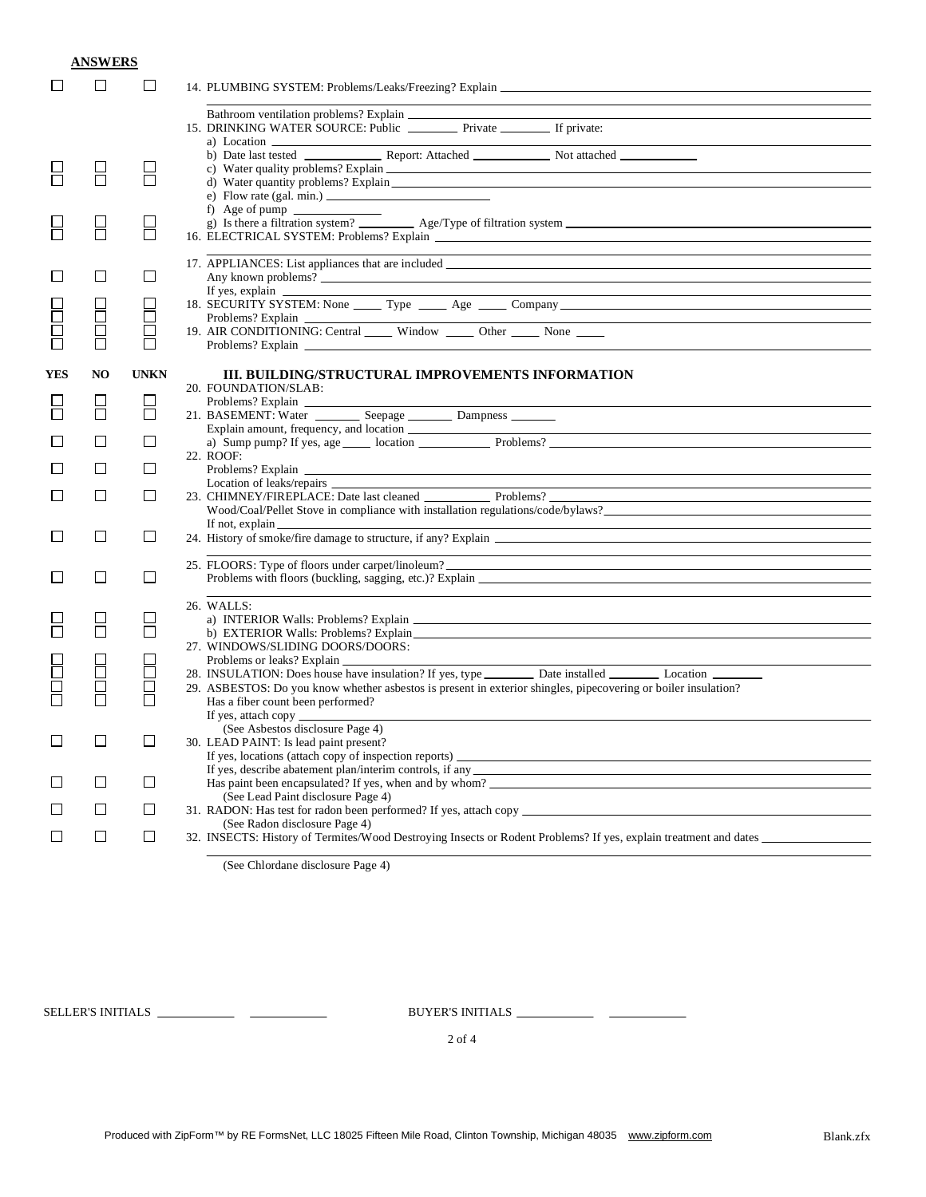|            | <b>ANSWERS</b> |                          |                                                                                                                                                                                                                                                                                                                                |  |  |  |  |  |
|------------|----------------|--------------------------|--------------------------------------------------------------------------------------------------------------------------------------------------------------------------------------------------------------------------------------------------------------------------------------------------------------------------------|--|--|--|--|--|
|            | $\perp$        | $\Box$                   | 14. PLUMBING SYSTEM: Problems/Leaks/Freezing? Explain ___________________________                                                                                                                                                                                                                                              |  |  |  |  |  |
|            |                |                          | <u> 1989 - Johann Stoff, deutscher Stoff, der Stoff, der Stoff, der Stoff, der Stoff, der Stoff, der Stoff, der S</u>                                                                                                                                                                                                          |  |  |  |  |  |
|            | H              | H                        | d) Water quantity problems? Explain<br>f) Age of pump $\frac{1}{\sqrt{1-\frac{1}{2}}}\left\vert \frac{1}{\sqrt{1-\frac{1}{2}}}\right\vert$                                                                                                                                                                                     |  |  |  |  |  |
|            | H              | $\Box$                   | g) Is there a filtration system? Age/Type of filtration system $\frac{1}{2}$<br><u> 1989 - Johann Stoff, amerikansk politiker (d. 1989)</u>                                                                                                                                                                                    |  |  |  |  |  |
|            | $\Box$         | ப                        | 17. APPLIANCES: List appliances that are included _______________________________<br>If yes, explain $\frac{1}{\sqrt{1-\frac{1}{2}}\left(1-\frac{1}{2}\right)}$                                                                                                                                                                |  |  |  |  |  |
|            | 비<br>H         | $\overline{\phantom{a}}$ | 18. SECURITY SYSTEM: None _______ Type ______ Age _____ Company _________________<br>Problems? Explain<br><u> 1989 - Andrea Stadt Britain, amerikansk politik (* 1958)</u>                                                                                                                                                     |  |  |  |  |  |
|            |                | $\Box$                   | 19. AIR CONDITIONING: Central ______ Window _____ Other _____ None _____                                                                                                                                                                                                                                                       |  |  |  |  |  |
| <b>YES</b> | NO.            | <b>UNKN</b>              | <b>III. BUILDING/STRUCTURAL IMPROVEMENTS INFORMATION</b><br>20. FOUNDATION/SLAB:                                                                                                                                                                                                                                               |  |  |  |  |  |
|            | $\Box$         | $\Box$<br>$\Box$         | Problems? Explain<br>21. BASEMENT: Water _________ Seepage ________ Dampness _______                                                                                                                                                                                                                                           |  |  |  |  |  |
|            | П              | $\Box$                   |                                                                                                                                                                                                                                                                                                                                |  |  |  |  |  |
|            | П              | $\Box$                   | 22. ROOF:                                                                                                                                                                                                                                                                                                                      |  |  |  |  |  |
|            | $\Box$         | $\Box$                   | Location of leaks/repairs experience and the contract of the contract of the contract of leaks/repairs experience of the contract of the contract of the contract of the contract of the contract of the contract of the contr                                                                                                 |  |  |  |  |  |
|            | $\Box$         | $\Box$                   | If not, explain $\overline{\phantom{a}}$<br><u> 1989 - Johann Stoff, fransk politik (f. 1989)</u><br>24. History of smoke/fire damage to structure, if any? Explain                                                                                                                                                            |  |  |  |  |  |
|            |                |                          |                                                                                                                                                                                                                                                                                                                                |  |  |  |  |  |
|            | $\Box$         | $\Box$                   | 25. FLOORS: Type of floors under carpet/linoleum?                                                                                                                                                                                                                                                                              |  |  |  |  |  |
|            | F              | $\Box$<br>$\Box$         | 26. WALLS:<br>b) EXTERIOR Walls: Problems? Explain<br>27. WINDOWS/SLIDING DOORS/DOORS:                                                                                                                                                                                                                                         |  |  |  |  |  |
|            | $\Box$<br>□    | $\Box$<br>$\Box$         | 29. ASBESTOS: Do you know whether asbestos is present in exterior shingles, pipecovering or boiler insulation?                                                                                                                                                                                                                 |  |  |  |  |  |
|            |                |                          | Has a fiber count been performed?<br>(See Asbestos disclosure Page 4)                                                                                                                                                                                                                                                          |  |  |  |  |  |
|            | $\Box$         | □                        | 30. LEAD PAINT: Is lead paint present?                                                                                                                                                                                                                                                                                         |  |  |  |  |  |
| ப          | $\Box$         | □                        | If yes, describe abatement plan/interim controls, if any example about the state of the state of the state of the state of the state of the state of the state of the state of the state of the state of the state of the stat<br>Has paint been encapsulated? If yes, when and by whom?<br>(See Lead Paint disclosure Page 4) |  |  |  |  |  |
| ⊔          | $\Box$         | $\Box$                   | (See Radon disclosure Page 4)                                                                                                                                                                                                                                                                                                  |  |  |  |  |  |
| $\Box$     | $\Box$         | $\Box$                   | 32. INSECTS: History of Termites/Wood Destroying Insects or Rodent Problems? If yes, explain treatment and dates                                                                                                                                                                                                               |  |  |  |  |  |
|            |                |                          | $(S_{22}$ Chlordone disology Rece $\Lambda$                                                                                                                                                                                                                                                                                    |  |  |  |  |  |

(See Chlordane disclosure Page 4)

SELLER'S INITIALS BUYER'S INITIALS

2 of 4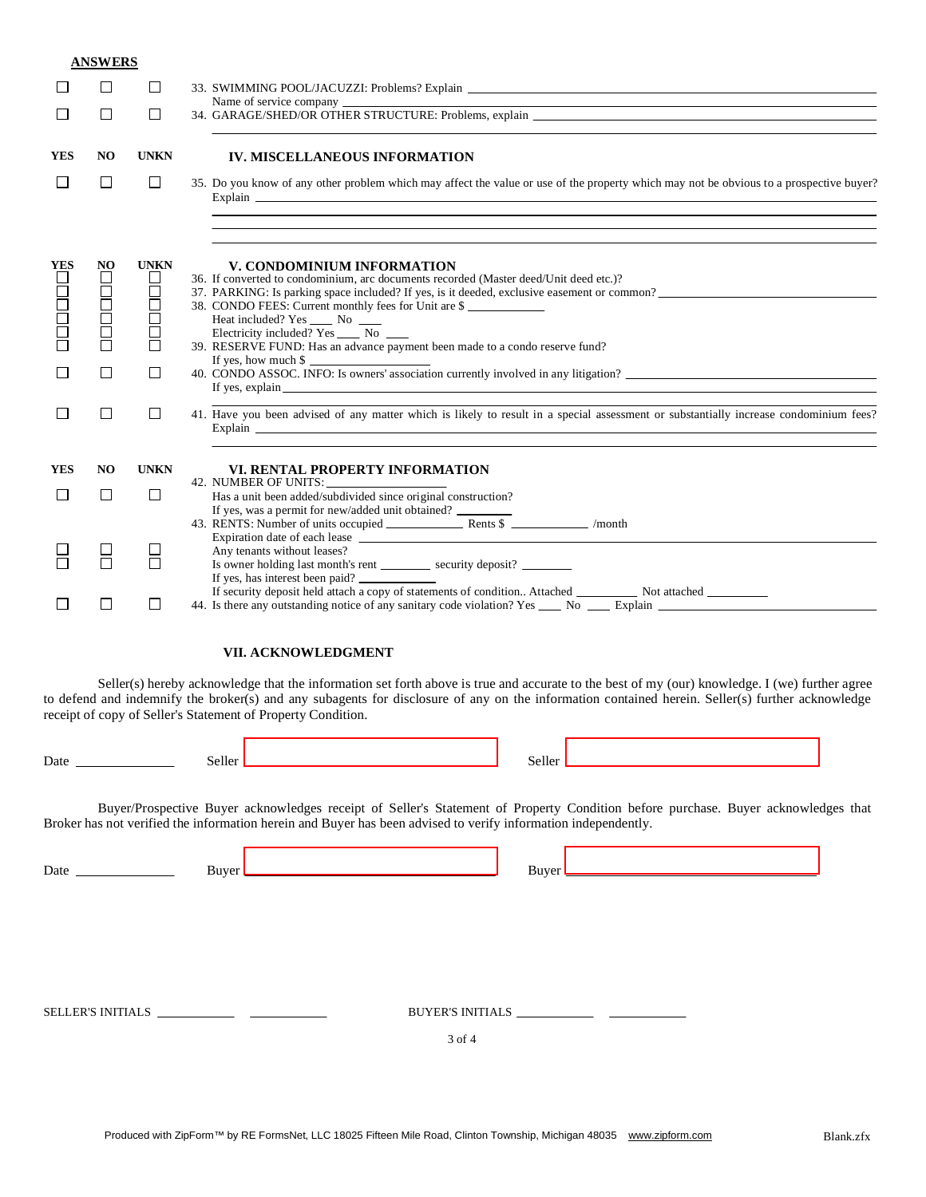|                          | <b>ANSWERS</b>    |                                                                                                    |                                                                                                                                                                                                                                                                                                                                                                                                                                             |
|--------------------------|-------------------|----------------------------------------------------------------------------------------------------|---------------------------------------------------------------------------------------------------------------------------------------------------------------------------------------------------------------------------------------------------------------------------------------------------------------------------------------------------------------------------------------------------------------------------------------------|
|                          | □                 | ⊔                                                                                                  |                                                                                                                                                                                                                                                                                                                                                                                                                                             |
| $\mathbf{L}$             | □                 | $\Box$                                                                                             | 34. GARAGE/SHED/OR OTHER STRUCTURE: Problems, explain __________________________                                                                                                                                                                                                                                                                                                                                                            |
| YES                      | NO.               | <b>UNKN</b>                                                                                        | IV. MISCELLANEOUS INFORMATION                                                                                                                                                                                                                                                                                                                                                                                                               |
| ⊔                        | $\Box$            | $\Box$                                                                                             | 35. Do you know of any other problem which may affect the value or use of the property which may not be obvious to a prospective buyer?                                                                                                                                                                                                                                                                                                     |
|                          |                   |                                                                                                    |                                                                                                                                                                                                                                                                                                                                                                                                                                             |
| YES<br>1000              | NO<br>⊔<br>888888 | <b>UNKN</b><br>⊔<br>$\Box$<br>$\Box$<br>$\Box$<br>$\Box$<br>П                                      | V. CONDOMINIUM INFORMATION<br>36. If converted to condominium, arc documents recorded (Master deed/Unit deed etc.)?<br>37. PARKING: Is parking space included? If yes, is it deeded, exclusive easement or common?<br>38. CONDO FEES: Current monthly fees for Unit are \$<br>Heat included? Yes _______ No _____<br>Electricity included? Yes _____ No ____<br>39. RESERVE FUND: Has an advance payment been made to a condo reserve fund? |
| $\overline{\phantom{a}}$ | $\Box$            | $\Box$                                                                                             | If yes, how much \$<br>40. CONDO ASSOC. INFO: Is owners' association currently involved in any litigation?<br>If yes, explain explain explaint the state of the state of the state of the state of the state of the state of the state of the state of the state of the state of the state of the state of the state of the state of the sta                                                                                                |
| ⊔                        | □                 | $\Box$                                                                                             | 41. Have you been advised of any matter which is likely to result in a special assessment or substantially increase condominium fees?                                                                                                                                                                                                                                                                                                       |
| YES                      | NO                | <b>UNKN</b>                                                                                        | VI. RENTAL PROPERTY INFORMATION                                                                                                                                                                                                                                                                                                                                                                                                             |
| $\Box$                   | □                 | $\Box$                                                                                             | 42. NUMBER OF UNITS: VERSION CONTINUES.<br>Has a unit been added/subdivided since original construction?<br>If yes, was a permit for new/added unit obtained?<br>43. RENTS: Number of units occupied Rents \$                                                                                                                                                                                                                               |
| $\Box$                   | H                 | Н                                                                                                  | Any tenants without leases?<br>Is owner holding last month's rent ___________ security deposit? _________<br>If yes, has interest been paid?                                                                                                                                                                                                                                                                                                |
| $\Box$                   | ⊔                 | $\Box$                                                                                             | 44. Is there any outstanding notice of any sanitary code violation? Yes _____ No _____ Explain _______________                                                                                                                                                                                                                                                                                                                              |
|                          |                   |                                                                                                    | VII. ACKNOWLEDGMENT                                                                                                                                                                                                                                                                                                                                                                                                                         |
|                          |                   |                                                                                                    | Seller(s) hereby acknowledge that the information set forth above is true and accurate to the best of my (our) knowledge. I (we) further agree<br>to defend and indemnify the broker(s) and any subagents for disclosure of any on the information contained herein. Seller(s) further acknowledge<br>receipt of copy of Seller's Statement of Property Condition.                                                                          |
|                          |                   | Date $\frac{1}{\sqrt{1-\frac{1}{2}}\sqrt{1-\frac{1}{2}}\sqrt{1-\frac{1}{2}}\sqrt{1-\frac{1}{2}}}}$ |                                                                                                                                                                                                                                                                                                                                                                                                                                             |
|                          |                   |                                                                                                    | Buyer/Prospective Buyer acknowledges receipt of Seller's Statement of Property Condition before purchase. Buyer acknowledges that<br>Broker has not verified the information herein and Buyer has been advised to verify information independently.                                                                                                                                                                                         |
|                          |                   | Date $\frac{1}{\sqrt{1-\frac{1}{2}}\sqrt{1-\frac{1}{2}}\left(1-\frac{1}{2}\right)}$                | Buyer                                                                                                                                                                                                                                                                                                                                                                                                                                       |
|                          |                   |                                                                                                    |                                                                                                                                                                                                                                                                                                                                                                                                                                             |
|                          |                   |                                                                                                    |                                                                                                                                                                                                                                                                                                                                                                                                                                             |
|                          |                   |                                                                                                    |                                                                                                                                                                                                                                                                                                                                                                                                                                             |
|                          |                   |                                                                                                    | 3 of 4                                                                                                                                                                                                                                                                                                                                                                                                                                      |